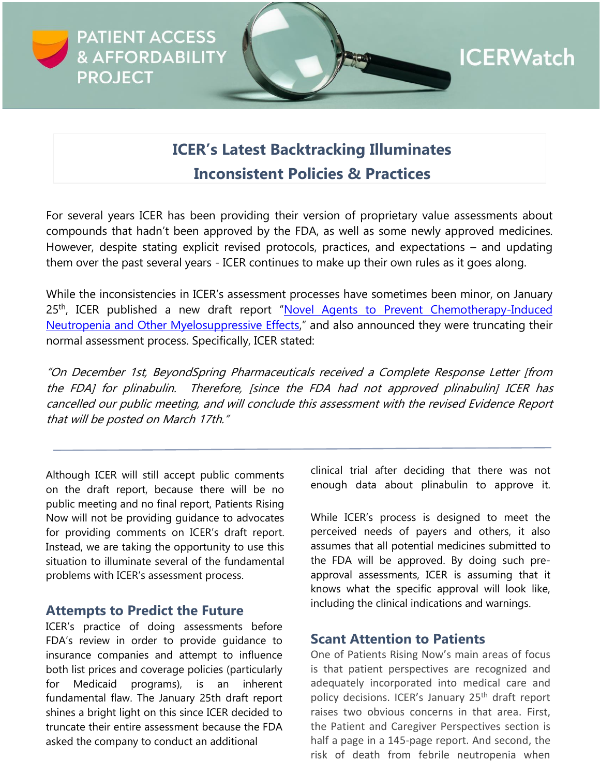

# **ICER's Latest Backtracking Illuminates Inconsistent Policies & Practices**

For several years ICER has been providing their version of proprietary value assessments about compounds that hadn't been approved by the FDA, as well as some newly approved medicines. However, despite stating explicit revised protocols, practices, and expectations – and updating them over the past several years - ICER continues to make up their own rules as it goes along.

While the inconsistencies in ICER's assessment processes have sometimes been minor, on January 25<sup>th</sup>, ICER published a new draft report "Novel Agents to Prevent Chemotherapy-Induced [Neutropenia and Other Myelosuppressive Effects,](https://icer.org/wp-content/uploads/2021/08/ICER_Neutropenia_Draft-Report_012522.pdf)" and also announced they were truncating their normal assessment process. Specifically, ICER stated:

"On December 1st, BeyondSpring Pharmaceuticals received a Complete Response Letter [from the FDA] for plinabulin. Therefore, [since the FDA had not approved plinabulin] ICER has cancelled our public meeting, and will conclude this assessment with the revised Evidence Report that will be posted on March 17th."

Although ICER will still accept public comments on the draft report, because there will be no public meeting and no final report, Patients Rising Now will not be providing guidance to advocates for providing comments on ICER's draft report. Instead, we are taking the opportunity to use this situation to illuminate several of the fundamental problems with ICER's assessment process.

#### **Attempts to Predict the Future**

ICER's practice of doing assessments before FDA's review in order to provide guidance to insurance companies and attempt to influence both list prices and coverage policies (particularly for Medicaid programs), is an inherent fundamental flaw. The January 25th draft report shines a bright light on this since ICER decided to truncate their entire assessment because the FDA asked the company to conduct an additional

clinical trial after deciding that there was not enough data about plinabulin to approve it.

While ICER's process is designed to meet the perceived needs of payers and others, it also assumes that all potential medicines submitted to the FDA will be approved. By doing such preapproval assessments, ICER is assuming that it knows what the specific approval will look like, including the clinical indications and warnings.

#### **Scant Attention to Patients**

One of Patients Rising Now's main areas of focus is that patient perspectives are recognized and adequately incorporated into medical care and policy decisions. ICER's January 25<sup>th</sup> draft report raises two obvious concerns in that area. First, the Patient and Caregiver Perspectives section is half a page in a 145-page report. And second, the risk of death from febrile neutropenia when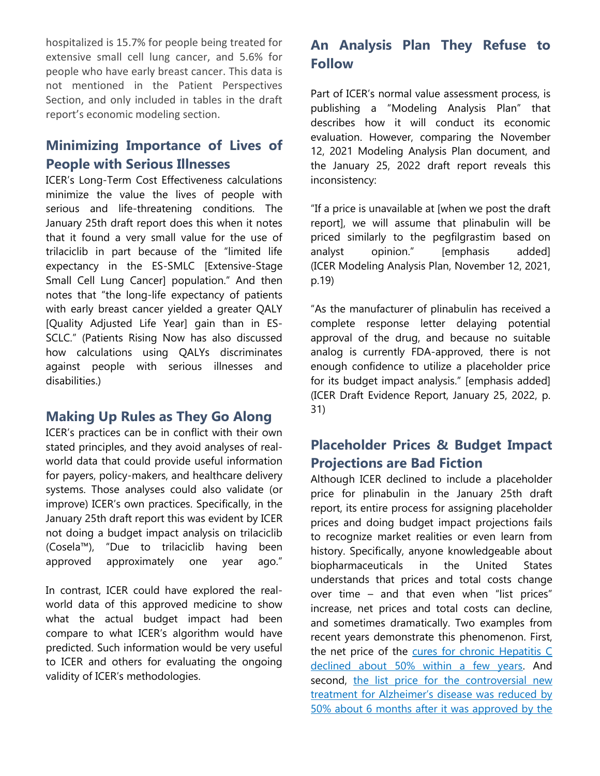hospitalized is 15.7% for people being treated for extensive small cell lung cancer, and 5.6% for people who have early breast cancer. This data is not mentioned in the Patient Perspectives Section, and only included in tables in the draft report's economic modeling section.

## **Minimizing Importance of Lives of People with Serious Illnesses**

ICER's Long-Term Cost Effectiveness calculations minimize the value the lives of people with serious and life-threatening conditions. The January 25th draft report does this when it notes that it found a very small value for the use of trilaciclib in part because of the "limited life expectancy in the ES-SMLC [Extensive-Stage Small Cell Lung Cancer] population." And then notes that "the long-life expectancy of patients with early breast cancer yielded a greater QALY [Quality Adjusted Life Year] gain than in ES-SCLC." (Patients Rising Now has also discussed how calculations using QALYs discriminates against people with serious illnesses and disabilities.)

### **Making Up Rules as They Go Along**

ICER's practices can be in conflict with their own stated principles, and they avoid analyses of realworld data that could provide useful information for payers, policy-makers, and healthcare delivery systems. Those analyses could also validate (or improve) ICER's own practices. Specifically, in the January 25th draft report this was evident by ICER not doing a budget impact analysis on trilaciclib (Cosela™), "Due to trilaciclib having been approved approximately one year ago."

In contrast, ICER could have explored the realworld data of this approved medicine to show what the actual budget impact had been compare to what ICER's algorithm would have predicted. Such information would be very useful to ICER and others for evaluating the ongoing validity of ICER's methodologies.

# **An Analysis Plan They Refuse to Follow**

Part of ICER's normal value assessment process, is publishing a "Modeling Analysis Plan" that describes how it will conduct its economic evaluation. However, comparing the November 12, 2021 Modeling Analysis Plan document, and the January 25, 2022 draft report reveals this inconsistency:

"If a price is unavailable at [when we post the draft report], we will assume that plinabulin will be priced similarly to the pegfilgrastim based on analyst opinion." [emphasis added] (ICER Modeling Analysis Plan, November 12, 2021, p.19)

"As the manufacturer of plinabulin has received a complete response letter delaying potential approval of the drug, and because no suitable analog is currently FDA-approved, there is not enough confidence to utilize a placeholder price for its budget impact analysis." [emphasis added] (ICER Draft Evidence Report, January 25, 2022, p. 31)

## **Placeholder Prices & Budget Impact Projections are Bad Fiction**

Although ICER declined to include a placeholder price for plinabulin in the January 25th draft report, its entire process for assigning placeholder prices and doing budget impact projections fails to recognize market realities or even learn from history. Specifically, anyone knowledgeable about biopharmaceuticals in the United States understands that prices and total costs change over time – and that even when "list prices" increase, net prices and total costs can decline, and sometimes dramatically. Two examples from recent years demonstrate this phenomenon. First, the net price of the [cures for chronic Hepatitis C](https://www.pcmanet.org/wp-content/uploads/2021/06/hcvdrugs_Infographic.pdf)  [declined about 50% within a few years.](https://www.pcmanet.org/wp-content/uploads/2021/06/hcvdrugs_Infographic.pdf) And second, [the list price for the controversial new](https://khn.org/morning-breakout/price-of-alzheimers-drug-aduhelm-halved-to-28200/)  [treatment for Alzheimer's disease was reduced by](https://khn.org/morning-breakout/price-of-alzheimers-drug-aduhelm-halved-to-28200/)  [50% about 6 months after it was approved by the](https://khn.org/morning-breakout/price-of-alzheimers-drug-aduhelm-halved-to-28200/)